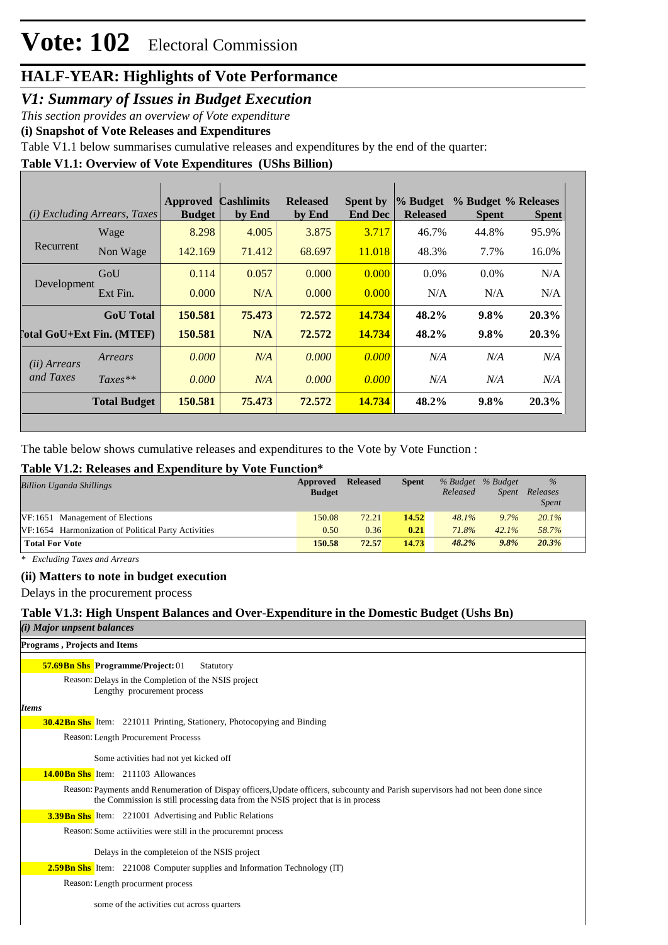## *V1: Summary of Issues in Budget Execution*

*This section provides an overview of Vote expenditure* 

**(i) Snapshot of Vote Releases and Expenditures**

Table V1.1 below summarises cumulative releases and expenditures by the end of the quarter:

# **Table V1.1: Overview of Vote Expenditures (UShs Billion)**

|                       | (i) Excluding Arrears, Taxes     | Approved<br><b>Budget</b> | <b>Cashlimits</b><br>by End | <b>Released</b><br>by End | Spent by<br><b>End Dec</b> | % Budget<br><b>Released</b> | % Budget % Releases<br><b>Spent</b> | <b>Spent</b> |
|-----------------------|----------------------------------|---------------------------|-----------------------------|---------------------------|----------------------------|-----------------------------|-------------------------------------|--------------|
|                       | Wage                             | 8.298                     | 4.005                       | 3.875                     | 3.717                      | 46.7%                       | 44.8%                               | 95.9%        |
| Recurrent             | Non Wage                         | 142.169                   | 71.412                      | 68.697                    | 11.018                     | 48.3%                       | 7.7%                                | 16.0%        |
|                       | GoU                              | 0.114                     | 0.057                       | 0.000                     | 0.000                      | $0.0\%$                     | $0.0\%$                             | N/A          |
| Development           | Ext Fin.                         | 0.000                     | N/A                         | 0.000                     | 0.000                      | N/A                         | N/A                                 | N/A          |
|                       | <b>GoU</b> Total                 | 150.581                   | 75.473                      | 72.572                    | 14.734                     | 48.2%                       | $9.8\%$                             | 20.3%        |
|                       | <b>Total GoU+Ext Fin. (MTEF)</b> | 150.581                   | N/A                         | 72.572                    | 14.734                     | 48.2%                       | $9.8\%$                             | 20.3%        |
| ( <i>ii</i> ) Arrears | Arrears                          | 0.000                     | N/A                         | 0.000                     | 0.000                      | N/A                         | N/A                                 | N/A          |
| and Taxes             | $Taxes**$                        | 0.000                     | N/A                         | 0.000                     | 0.000                      | N/A                         | N/A                                 | N/A          |
|                       | <b>Total Budget</b>              | 150.581                   | 75.473                      | 72.572                    | 14.734                     | 48.2%                       | 9.8%                                | 20.3%        |

The table below shows cumulative releases and expenditures to the Vote by Vote Function :

### **Table V1.2: Releases and Expenditure by Vote Function\***

| <b>Billion Uganda Shillings</b>                     | Approved<br><b>Budget</b> | Released | <b>Spent</b> | Released | % Budget % Budget<br><i>Spent</i> | $\%$<br>Releases<br><b>Spent</b> |  |
|-----------------------------------------------------|---------------------------|----------|--------------|----------|-----------------------------------|----------------------------------|--|
| VF:1651 Management of Elections                     | 150.08                    | 72.21    | 14.52        | $48.1\%$ | 9.7%                              | 20.1%                            |  |
| VF:1654 Harmonization of Political Party Activities | 0.50                      | 0.36     | 0.21         | 71.8%    | 42.1%                             | 58.7%                            |  |
| <b>Total For Vote</b>                               | 150.58                    | 72.57    | 14.73        | 48.2%    | 9.8%                              | 20.3%                            |  |

*\* Excluding Taxes and Arrears*

### **(ii) Matters to note in budget execution**

Delays in the procurement process

#### **Table V1.3: High Unspent Balances and Over-Expenditure in the Domestic Budget (Ushs Bn)** *(i) Major unpsent bala*

| ( <i>i</i> ) Major unpsent balances                                                                                                                                                                                  |
|----------------------------------------------------------------------------------------------------------------------------------------------------------------------------------------------------------------------|
| Programs, Projects and Items                                                                                                                                                                                         |
| <b>57.69 Bn Shs Programme/Project: 01</b><br>Statutory                                                                                                                                                               |
| Reason: Delays in the Completion of the NSIS project<br>Lengthy procurement process                                                                                                                                  |
| <b>Items</b>                                                                                                                                                                                                         |
| <b>30.42Bn Shs</b> Item: 221011 Printing, Stationery, Photocopying and Binding                                                                                                                                       |
| Reason: Length Procurement Processs                                                                                                                                                                                  |
| Some activities had not yet kicked off                                                                                                                                                                               |
| <b>14.00Bn Shs</b> Item: 211103 Allowances                                                                                                                                                                           |
| Reason: Payments andd Renumeration of Dispay officers, Update officers, subcounty and Parish supervisors had not been done since<br>the Commission is still processing data from the NSIS project that is in process |
| <b>3.39 Bn Shs</b> Item: 221001 Advertising and Public Relations                                                                                                                                                     |
| Reason: Some activities were still in the procuremnt process                                                                                                                                                         |
| Delays in the completeion of the NSIS project                                                                                                                                                                        |
| <b>2.59 Bn Shs</b> Item: 221008 Computer supplies and Information Technology (IT)                                                                                                                                    |
| Reason: Length procurment process                                                                                                                                                                                    |
| some of the activities cut across quarters                                                                                                                                                                           |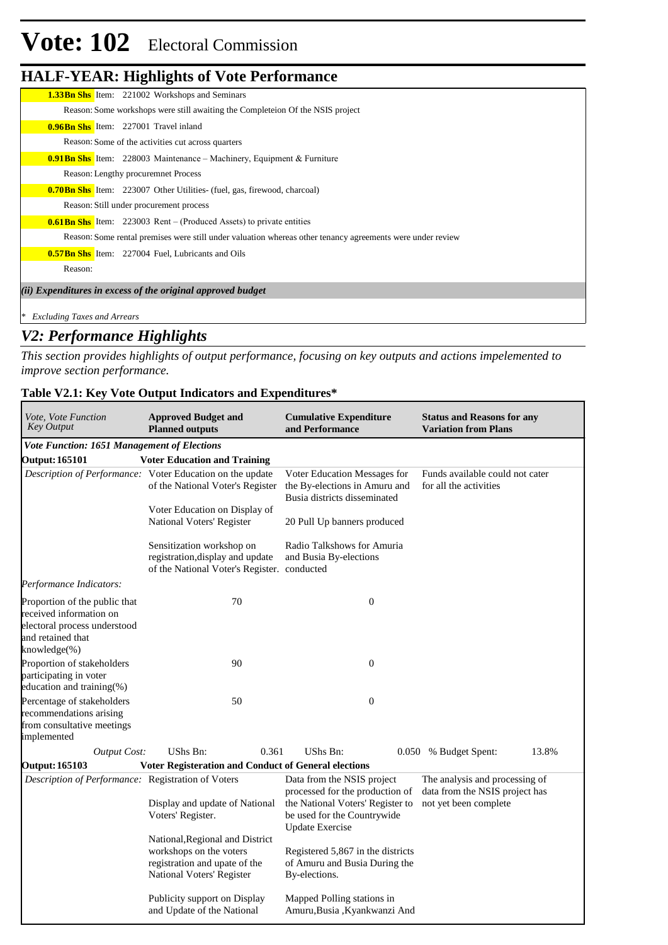# **Vote: 102** Electoral Commission

## **HALF-YEAR: Highlights of Vote Performance**

| <b>1.33Bn Shs</b> Item: 221002 Workshops and Seminars                                                      |
|------------------------------------------------------------------------------------------------------------|
| Reason: Some workshops were still awaiting the Completeion Of the NSIS project                             |
| <b>0.96Bn Shs</b> Item: 227001 Travel inland                                                               |
| Reason: Some of the activities cut across quarters                                                         |
| <b>0.91 Bn Shs</b> Item: 228003 Maintenance – Machinery, Equipment & Furniture                             |
| Reason: Lengthy procuremnet Process                                                                        |
| <b>0.70 Bn Shs</b> Item: 223007 Other Utilities- (fuel, gas, firewood, charcoal)                           |
| Reason: Still under procurement process                                                                    |
| <b>0.61 Bn Shs</b> Item: 223003 Rent – (Produced Assets) to private entities                               |
| Reason: Some rental premises were still under valuation whereas other tenancy agreements were under review |
| <b>0.57Bn Shs</b> Item: 227004 Fuel, Lubricants and Oils                                                   |
| Reason:                                                                                                    |
| (ii) Expenditures in excess of the original approved budget                                                |
| * Excluding Taxes and Arrears                                                                              |
|                                                                                                            |

## *V2: Performance Highlights*

*This section provides highlights of output performance, focusing on key outputs and actions impelemented to improve section performance.*

### **Table V2.1: Key Vote Output Indicators and Expenditures\***

| <i>Vote, Vote Function</i><br><b>Key Output</b>                                                                               | <b>Approved Budget and</b><br><b>Planned outputs</b>                                                                     | <b>Cumulative Expenditure</b><br>and Performance                                                                                                           | <b>Status and Reasons for any</b><br><b>Variation from Plans</b>                          |
|-------------------------------------------------------------------------------------------------------------------------------|--------------------------------------------------------------------------------------------------------------------------|------------------------------------------------------------------------------------------------------------------------------------------------------------|-------------------------------------------------------------------------------------------|
| <b>Vote Function: 1651 Management of Elections</b>                                                                            |                                                                                                                          |                                                                                                                                                            |                                                                                           |
| <b>Output: 165101</b>                                                                                                         | <b>Voter Education and Training</b>                                                                                      |                                                                                                                                                            |                                                                                           |
|                                                                                                                               | Description of Performance: Voter Education on the update<br>of the National Voter's Register                            | Voter Education Messages for<br>the By-elections in Amuru and<br>Busia districts disseminated                                                              | Funds available could not cater<br>for all the activities                                 |
|                                                                                                                               | Voter Education on Display of<br>National Voters' Register                                                               | 20 Pull Up banners produced                                                                                                                                |                                                                                           |
|                                                                                                                               | Sensitization workshop on<br>registration, display and update<br>of the National Voter's Register. conducted             | Radio Talkshows for Amuria<br>and Busia By-elections                                                                                                       |                                                                                           |
| Performance Indicators:                                                                                                       |                                                                                                                          |                                                                                                                                                            |                                                                                           |
| Proportion of the public that<br>received information on<br>electoral process understood<br>and retained that<br>knowledge(%) | 70                                                                                                                       | $\overline{0}$                                                                                                                                             |                                                                                           |
| Proportion of stakeholders                                                                                                    | 90                                                                                                                       | $\boldsymbol{0}$                                                                                                                                           |                                                                                           |
| participating in voter<br>education and training(%)                                                                           |                                                                                                                          |                                                                                                                                                            |                                                                                           |
| Percentage of stakeholders<br>recommendations arising<br>from consultative meetings<br>implemented                            | 50                                                                                                                       | $\mathbf{0}$                                                                                                                                               |                                                                                           |
| <b>Output Cost:</b>                                                                                                           | UShs Bn:<br>0.361                                                                                                        | <b>UShs Bn:</b><br>0.050                                                                                                                                   | 13.8%<br>% Budget Spent:                                                                  |
| <b>Output: 165103</b>                                                                                                         | Voter Registeration and Conduct of General elections                                                                     |                                                                                                                                                            |                                                                                           |
| Description of Performance: Registration of Voters                                                                            | Display and update of National<br>Voters' Register.                                                                      | Data from the NSIS project<br>processed for the production of<br>the National Voters' Register to<br>be used for the Countrywide<br><b>Update Exercise</b> | The analysis and processing of<br>data from the NSIS project has<br>not yet been complete |
|                                                                                                                               | National, Regional and District<br>workshops on the voters<br>registration and upate of the<br>National Voters' Register | Registered 5,867 in the districts<br>of Amuru and Busia During the<br>By-elections.                                                                        |                                                                                           |
|                                                                                                                               | Publicity support on Display<br>and Update of the National                                                               | Mapped Polling stations in<br>Amuru, Busia, Kyankwanzi And                                                                                                 |                                                                                           |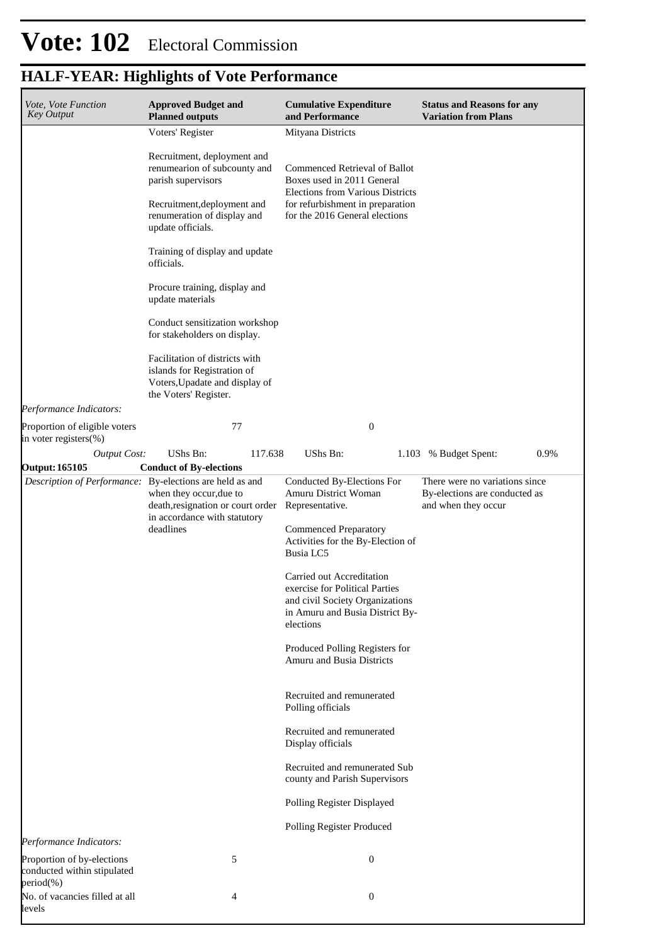| Vote, Vote Function<br><b>Key Output</b>                  | <b>Approved Budget and</b><br><b>Planned outputs</b>                                                                                                                  | <b>Cumulative Expenditure</b><br>and Performance                                                                                                                      | <b>Status and Reasons for any</b><br><b>Variation from Plans</b>                       |
|-----------------------------------------------------------|-----------------------------------------------------------------------------------------------------------------------------------------------------------------------|-----------------------------------------------------------------------------------------------------------------------------------------------------------------------|----------------------------------------------------------------------------------------|
|                                                           | Voters' Register                                                                                                                                                      | Mityana Districts                                                                                                                                                     |                                                                                        |
|                                                           | Recruitment, deployment and<br>renumearion of subcounty and<br>parish supervisors<br>Recruitment, deployment and<br>renumeration of display and                       | Commenced Retrieval of Ballot<br>Boxes used in 2011 General<br>Elections from Various Districts<br>for refurbishment in preparation<br>for the 2016 General elections |                                                                                        |
|                                                           | update officials.<br>Training of display and update<br>officials.                                                                                                     |                                                                                                                                                                       |                                                                                        |
|                                                           | Procure training, display and<br>update materials                                                                                                                     |                                                                                                                                                                       |                                                                                        |
|                                                           | Conduct sensitization workshop<br>for stakeholders on display.                                                                                                        |                                                                                                                                                                       |                                                                                        |
|                                                           | Facilitation of districts with<br>islands for Registration of<br>Voters, Upadate and display of<br>the Voters' Register.                                              |                                                                                                                                                                       |                                                                                        |
| Performance Indicators:                                   |                                                                                                                                                                       |                                                                                                                                                                       |                                                                                        |
| Proportion of eligible voters<br>in voter registers(%)    | 77                                                                                                                                                                    | $\boldsymbol{0}$                                                                                                                                                      |                                                                                        |
| <b>Output Cost:</b>                                       | UShs Bn:<br>117.638                                                                                                                                                   | UShs Bn:                                                                                                                                                              | 0.9%<br>1.103 % Budget Spent:                                                          |
| <b>Output: 165105</b>                                     | <b>Conduct of By-elections</b>                                                                                                                                        |                                                                                                                                                                       |                                                                                        |
|                                                           | Description of Performance: By-elections are held as and<br>when they occur, due to<br>death, resignation or court order<br>in accordance with statutory<br>deadlines | Conducted By-Elections For<br>Amuru District Woman<br>Representative.<br><b>Commenced Preparatory</b><br>Activities for the By-Election of<br>Busia LC5               | There were no variations since<br>By-elections are conducted as<br>and when they occur |
|                                                           |                                                                                                                                                                       | Carried out Accreditation<br>exercise for Political Parties<br>and civil Society Organizations<br>in Amuru and Busia District By-<br>elections                        |                                                                                        |
|                                                           |                                                                                                                                                                       | Produced Polling Registers for<br><b>Amuru and Busia Districts</b>                                                                                                    |                                                                                        |
|                                                           |                                                                                                                                                                       | Recruited and remunerated<br>Polling officials                                                                                                                        |                                                                                        |
|                                                           |                                                                                                                                                                       | Recruited and remunerated<br>Display officials                                                                                                                        |                                                                                        |
|                                                           |                                                                                                                                                                       | Recruited and remunerated Sub<br>county and Parish Supervisors                                                                                                        |                                                                                        |
|                                                           |                                                                                                                                                                       | Polling Register Displayed                                                                                                                                            |                                                                                        |
| Performance Indicators:                                   |                                                                                                                                                                       | Polling Register Produced                                                                                                                                             |                                                                                        |
| Proportion of by-elections<br>conducted within stipulated | 5                                                                                                                                                                     | $\boldsymbol{0}$                                                                                                                                                      |                                                                                        |
| period(%)<br>No. of vacancies filled at all<br>levels     | 4                                                                                                                                                                     | $\boldsymbol{0}$                                                                                                                                                      |                                                                                        |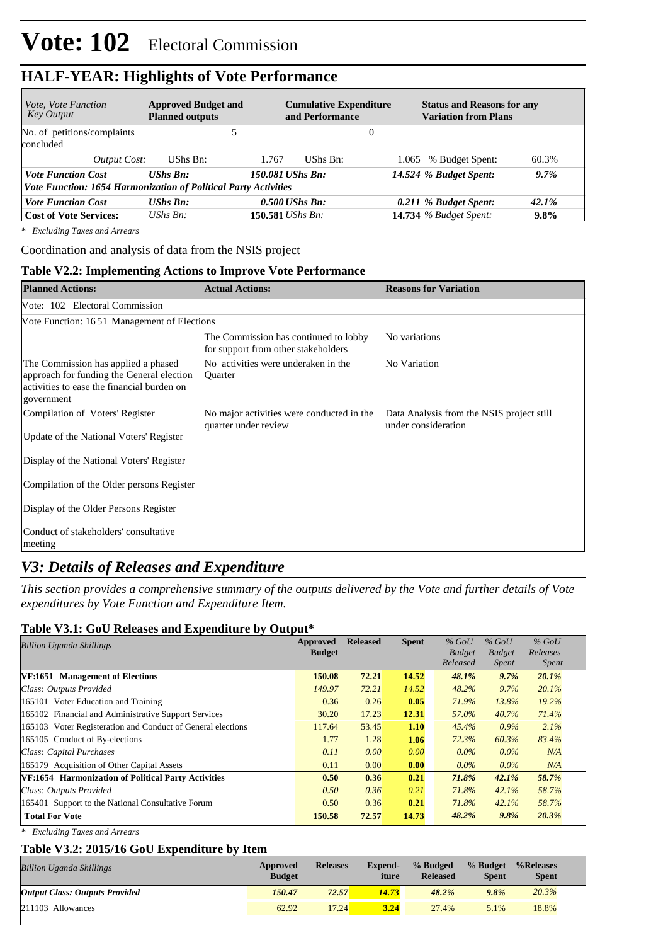| <i>Vote, Vote Function</i><br>Key Output                        | <b>Approved Budget and</b><br><b>Planned outputs</b> | <b>Cumulative Expenditure</b><br>and Performance | <b>Status and Reasons for any</b><br><b>Variation from Plans</b> |         |
|-----------------------------------------------------------------|------------------------------------------------------|--------------------------------------------------|------------------------------------------------------------------|---------|
| No. of petitions/complaints<br>concluded                        |                                                      |                                                  | O                                                                |         |
| Output Cost:                                                    | UShs Bn:                                             | UShs Bn:<br>1.767                                | 1.065 % Budget Spent:                                            | 60.3%   |
| <b>Vote Function Cost</b>                                       | <b>UShs Bn:</b>                                      | 150.081 UShs Bn:                                 | 14.524 % Budget Spent:                                           | $9.7\%$ |
| Vote Function: 1654 Harmonization of Political Party Activities |                                                      |                                                  |                                                                  |         |
| <b>Vote Function Cost</b>                                       | $UShs$ $Bn$ :                                        | $0.500$ UShs Bn:                                 | 0.211 % Budget Spent:                                            | 42.1%   |
| Cost of Vote Services:                                          | UShs $B_n$ :                                         | 150.581 UShs Bn:                                 | <b>14.734</b> % Budget Spent:                                    | $9.8\%$ |

*\* Excluding Taxes and Arrears*

Coordination and analysis of data from the NSIS project

#### **Table V2.2: Implementing Actions to Improve Vote Performance**

| <b>Planned Actions:</b>                                                                                                                      | <b>Actual Actions:</b>                                                       | <b>Reasons for Variation</b>                                     |
|----------------------------------------------------------------------------------------------------------------------------------------------|------------------------------------------------------------------------------|------------------------------------------------------------------|
| Vote: 102 Electoral Commission                                                                                                               |                                                                              |                                                                  |
| Vote Function: 1651 Management of Elections                                                                                                  |                                                                              |                                                                  |
|                                                                                                                                              | The Commission has continued to lobby<br>for support from other stakeholders | No variations                                                    |
| The Commission has applied a phased<br>approach for funding the General election<br>activities to ease the financial burden on<br>government | No activities were underaken in the<br><b>Ouarter</b>                        | No Variation                                                     |
| Compilation of Voters' Register<br>Update of the National Voters' Register                                                                   | No major activities were conducted in the<br>quarter under review            | Data Analysis from the NSIS project still<br>under consideration |
| Display of the National Voters' Register                                                                                                     |                                                                              |                                                                  |
| Compilation of the Older persons Register                                                                                                    |                                                                              |                                                                  |
| Display of the Older Persons Register                                                                                                        |                                                                              |                                                                  |
| Conduct of stakeholders' consultative<br>meeting                                                                                             |                                                                              |                                                                  |

## *V3: Details of Releases and Expenditure*

*This section provides a comprehensive summary of the outputs delivered by the Vote and further details of Vote expenditures by Vote Function and Expenditure Item.*

#### **Table V3.1: GoU Releases and Expenditure by Output\***

| <b>Billion Uganda Shillings</b>                             | <b>Approved</b> | <b>Released</b> | <b>Spent</b> | $%$ GoU       | $%$ GoU       | $%$ GoU      |  |
|-------------------------------------------------------------|-----------------|-----------------|--------------|---------------|---------------|--------------|--|
|                                                             | <b>Budget</b>   |                 |              | <b>Budget</b> | <b>Budget</b> | Releases     |  |
|                                                             |                 |                 |              | Released      | <i>Spent</i>  | <i>Spent</i> |  |
| VF:1651 Management of Elections                             | 150.08          | 72.21           | 14.52        | 48.1%         | 9.7%          | 20.1%        |  |
| Class: Outputs Provided                                     | 149.97          | 72.21           | 14.52        | $48.2\%$      | $9.7\%$       | 20.1%        |  |
| 165101 Voter Education and Training                         | 0.36            | 0.26            | 0.05         | 71.9%         | 13.8%         | 19.2%        |  |
| 165102 Financial and Administrative Support Services        | 30.20           | 17.23           | 12.31        | 57.0%         | 40.7%         | 71.4%        |  |
| 165103 Voter Registeration and Conduct of General elections | 117.64          | 53.45           | 1.10         | 45.4%         | $0.9\%$       | 2.1%         |  |
| 165105 Conduct of By-elections                              | 1.77            | 1.28            | 1.06         | 72.3%         | 60.3%         | 83.4%        |  |
| Class: Capital Purchases                                    | 0.11            | 0.00            | 0.00         | $0.0\%$       | $0.0\%$       | N/A          |  |
| 165179 Acquisition of Other Capital Assets                  | 0.11            | 0.00            | 0.00         | $0.0\%$       | $0.0\%$       | N/A          |  |
| VF:1654 Harmonization of Political Party Activities         | 0.50            | 0.36            | 0.21         | 71.8%         | 42.1%         | 58.7%        |  |
| Class: Outputs Provided                                     | 0.50            | 0.36            | 0.21         | 71.8%         | 42.1%         | 58.7%        |  |
| 165401 Support to the National Consultative Forum           | 0.50            | 0.36            | 0.21         | 71.8%         | 42.1%         | 58.7%        |  |
| <b>Total For Vote</b>                                       | 150.58          | 72.57           | 14.73        | 48.2%         | 9.8%          | 20.3%        |  |
|                                                             |                 |                 |              |               |               |              |  |

*\* Excluding Taxes and Arrears*

#### **Table V3.2: 2015/16 GoU Expenditure by Item**

| <b>Billion Uganda Shillings</b>       | Approved<br><b>Budget</b> | <b>Releases</b> | Expend-<br>iture | % Budged<br><b>Released</b> | % Budget<br><b>Spent</b> | %Releases<br><b>Spent</b> |
|---------------------------------------|---------------------------|-----------------|------------------|-----------------------------|--------------------------|---------------------------|
| <b>Output Class: Outputs Provided</b> | 150.47                    | 72.57           | 14.73            | 48.2%                       | 9.8%                     | 20.3%                     |
| $211103$ Allowances                   | 62.92                     | 17.24           | 3.24             | 27.4%                       | 5.1%                     | 18.8%                     |